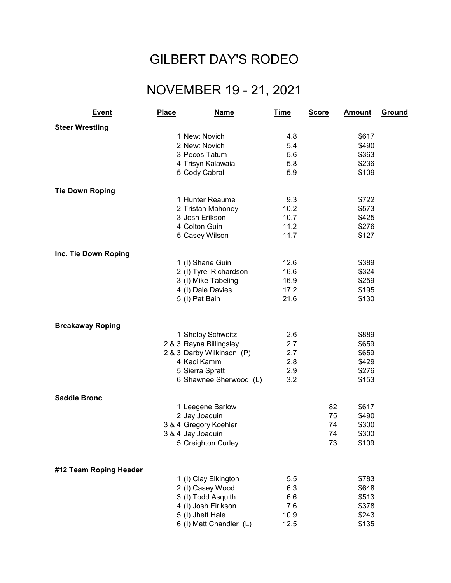## GILBERT DAY'S RODEO

## NOVEMBER 19 - 21, 2021

| <b>Event</b>            | <b>Place</b>      | <b>Name</b>               | <u>Time</u> | <b>Score</b> | <b>Amount</b> | <b>Ground</b> |
|-------------------------|-------------------|---------------------------|-------------|--------------|---------------|---------------|
| <b>Steer Wrestling</b>  |                   |                           |             |              |               |               |
|                         |                   | 1 Newt Novich             | 4.8         |              | \$617         |               |
|                         |                   | 2 Newt Novich             | 5.4         |              | \$490         |               |
|                         |                   | 3 Pecos Tatum             | 5.6         |              | \$363         |               |
|                         |                   | 4 Trisyn Kalawaia         | 5.8         |              | \$236         |               |
|                         |                   | 5 Cody Cabral             | 5.9         |              | \$109         |               |
| <b>Tie Down Roping</b>  |                   |                           |             |              |               |               |
|                         |                   | 1 Hunter Reaume           | 9.3         |              | \$722         |               |
|                         |                   | 2 Tristan Mahoney         | 10.2        |              | \$573         |               |
|                         |                   | 3 Josh Erikson            | 10.7        |              | \$425         |               |
|                         |                   | 4 Colton Guin             | 11.2        |              | \$276         |               |
|                         |                   | 5 Casey Wilson            | 11.7        |              | \$127         |               |
| Inc. Tie Down Roping    |                   |                           |             |              |               |               |
|                         |                   | 1 (I) Shane Guin          | 12.6        |              | \$389         |               |
|                         |                   | 2 (I) Tyrel Richardson    | 16.6        |              | \$324         |               |
|                         |                   | 3 (I) Mike Tabeling       | 16.9        |              | \$259         |               |
|                         |                   | 4 (I) Dale Davies         | 17.2        |              | \$195         |               |
|                         |                   | 5 (I) Pat Bain            | 21.6        |              | \$130         |               |
|                         |                   |                           |             |              |               |               |
| <b>Breakaway Roping</b> |                   |                           |             |              |               |               |
|                         |                   | 1 Shelby Schweitz         | 2.6         |              | \$889         |               |
|                         |                   | 2 & 3 Rayna Billingsley   | 2.7         |              | \$659         |               |
|                         |                   | 2 & 3 Darby Wilkinson (P) | 2.7         |              | \$659         |               |
|                         |                   | 4 Kaci Kamm               | 2.8         |              | \$429         |               |
|                         |                   | 5 Sierra Spratt           | 2.9         |              | \$276         |               |
|                         |                   | 6 Shawnee Sherwood (L)    | 3.2         |              | \$153         |               |
| <b>Saddle Bronc</b>     |                   |                           |             |              |               |               |
|                         |                   | 1 Leegene Barlow          |             | 82           | \$617         |               |
|                         |                   | 2 Jay Joaquin             |             | 75           | \$490         |               |
|                         |                   | 3 & 4 Gregory Koehler     |             | 74           | \$300         |               |
|                         | 3 & 4 Jay Joaquin |                           |             | 74           | \$300         |               |
|                         |                   | 5 Creighton Curley        |             | 73           | \$109         |               |
|                         |                   |                           |             |              |               |               |
| #12 Team Roping Header  |                   | 1 (I) Clay Elkington      | 5.5         |              | \$783         |               |
|                         |                   | 2 (I) Casey Wood          | 6.3         |              | \$648         |               |
|                         |                   | 3 (I) Todd Asquith        | 6.6         |              | \$513         |               |
|                         |                   | 4 (I) Josh Eirikson       | 7.6         |              | \$378         |               |
|                         |                   | 5 (I) Jhett Hale          | 10.9        |              | \$243         |               |
|                         |                   | 6 (I) Matt Chandler (L)   | 12.5        |              | \$135         |               |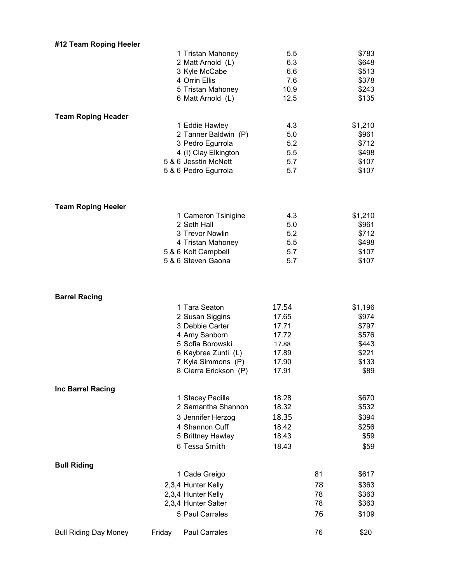| #12 Team Roping Heeler       |        |                       |       |    |         |
|------------------------------|--------|-----------------------|-------|----|---------|
|                              |        | 1 Tristan Mahoney     | 5.5   |    | \$783   |
|                              |        | 2 Matt Arnold (L)     | 6.3   |    | \$648   |
|                              |        | 3 Kyle McCabe         | 6.6   |    | \$513   |
|                              |        | 4 Orrin Ellis         | 7.6   |    | \$378   |
|                              |        | 5 Tristan Mahoney     | 10.9  |    | \$243   |
|                              |        | 6 Matt Arnold (L)     | 12.5  |    | \$135   |
|                              |        |                       |       |    |         |
| <b>Team Roping Header</b>    |        | 1 Eddie Hawley        | 4.3   |    | \$1,210 |
|                              |        | 2 Tanner Baldwin (P)  | 5.0   |    | \$961   |
|                              |        | 3 Pedro Egurrola      | 5.2   |    | \$712   |
|                              |        | 4 (I) Clay Elkington  | 5.5   |    | \$498   |
|                              |        | 5 & 6 Jesstin McNett  | 5.7   |    | \$107   |
|                              |        | 5 & 6 Pedro Egurrola  | 5.7   |    | \$107   |
|                              |        |                       |       |    |         |
| <b>Team Roping Heeler</b>    |        | 1 Cameron Tsinigine   | 4.3   |    | \$1,210 |
|                              |        | 2 Seth Hall           | 5.0   |    | \$961   |
|                              |        | 3 Trevor Nowlin       | 5.2   |    | \$712   |
|                              |        | 4 Tristan Mahoney     | 5.5   |    | \$498   |
|                              |        | 5 & 6 Kolt Campbell   | 5.7   |    | \$107   |
|                              |        | 5 & 6 Steven Gaona    | 5.7   |    | \$107   |
| <b>Barrel Racing</b>         |        |                       |       |    |         |
|                              |        | 1 Tara Seaton         | 17.54 |    | \$1,196 |
|                              |        | 2 Susan Siggins       | 17.65 |    | \$974   |
|                              |        | 3 Debbie Carter       | 17.71 |    | \$797   |
|                              |        | 4 Amy Sanborn         | 17.72 |    | \$576   |
|                              |        | 5 Sofia Borowski      | 17.88 |    | \$443   |
|                              |        | 6 Kaybree Zunti (L)   | 17.89 |    | \$221   |
|                              |        | 7 Kyla Simmons (P)    | 17.90 |    | \$133   |
|                              |        | 8 Cierra Erickson (P) | 17.91 |    | \$89    |
| Inc Barrel Racing            |        |                       |       |    |         |
|                              |        | 1 Stacey Padilla      | 18.28 |    | \$670   |
|                              |        | 2 Samantha Shannon    | 18.32 |    | \$532   |
|                              |        | 3 Jennifer Herzog     | 18.35 |    | \$394   |
|                              |        | 4 Shannon Cuff        | 18.42 |    | \$256   |
|                              |        | 5 Brittney Hawley     | 18.43 |    | \$59    |
|                              |        | 6 Tessa Smith         | 18.43 |    | \$59    |
| <b>Bull Riding</b>           |        |                       |       |    |         |
|                              |        | 1 Cade Greigo         |       | 81 | \$617   |
|                              |        | 2,3,4 Hunter Kelly    |       | 78 | \$363   |
|                              |        | 2,3,4 Hunter Kelly    |       | 78 | \$363   |
|                              |        | 2,3,4 Hunter Salter   |       | 78 | \$363   |
|                              |        | 5 Paul Carrales       |       | 76 | \$109   |
| <b>Bull Riding Day Money</b> | Friday | <b>Paul Carrales</b>  |       | 76 | \$20    |